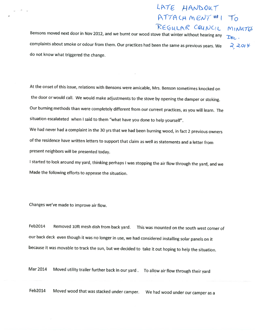## LATE HANDOUT  $ATTACHMENT#1 T0$

Bensons moved next door in Nov 2012, and we burnt our wood stove that winter without hearing any  $\mathcal{D}_{\ell}$ . complaints about smoke or odour from them. Our practices had been the same as previous years. We  $c^2 \ge 0$ do not know what triggered the change.

At the onset of this issue, relations with Bensons were amicable, Mrs. Benson sometimes knocked on the door or would call. We would make adjustments to the stove by opening the damper or stoking. Our burning methods than were completely different from our current practices, as you will learn. The situation escalateted when <sup>I</sup> said to them "what have you done to help yourself".

We had never had <sup>a</sup> complaint in the <sup>30</sup> yrs that we had been burning wood, in fact <sup>2</sup> previous owners of the residence have written letters to support that claim as well as statements and <sup>a</sup> letter from present neighbors will be presented today.

<sup>I</sup> started to look around my yard, thinking perhaps <sup>I</sup> was stopping the air flow through the yard, and we Made the following efforts to appease the situation.

Changes we've made to improve air flow.

Feb2014 Removed 10ft mesh dish from back yard. This was mounted on the south west corner of our back deck even though it was no longer in use, we had considered installing solar panels on it because it was movable to track the sun, but we decided to take it out hoping to help the situation.

Mar <sup>2014</sup> Moved utility trailer further back in our yard. To allow air flow through their yard

Feb2014 Moved wood that was stacked under camper. We had wood under our camper as <sup>a</sup>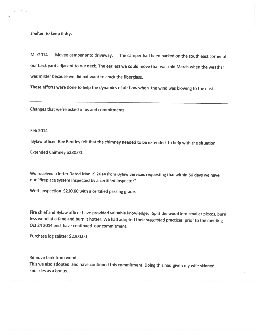shelter to keep it dry.

Mar2014 Moved camper onto driveway. The camper had been parked on the south east corner of our back yard adjacent to our deck. The earliest we could move that was mid March when the weather was milder because we did not want to crack the fiberglass.

These efforts were done to help the dynamics of air flow when the wind was blowing to the east..

Changes that we're asked of us and commitments

Feb 2014

Bylaw officer Bev Bentley felt that the chimney needed to be extended to help with the situation.

Extended Chimney \$280.00

We received <sup>a</sup> letter Dated Mar <sup>19</sup> <sup>2014</sup> from Bylaw Services requesting that within <sup>60</sup> days we have our 'fireplace system inspected by <sup>a</sup> certified inspector"

Wett inspection \$210.00 with <sup>a</sup> certified passing grade.

Fire chief and Bylaw officer have provided valuable knowledge. Split the wood into smaller <sup>p</sup>ieces, burn less wood at <sup>a</sup> time and burn it hotter. We had adopted their suggested practices prior to the meeting Oct 24 2014 and have continued our commitment.

Purchase log splitter \$2200.00

Remove bark from wood.

This we also adopted and have continued this commitment. Doing this has <sup>g</sup>iven my wife skinned knuckles as <sup>a</sup> bonus.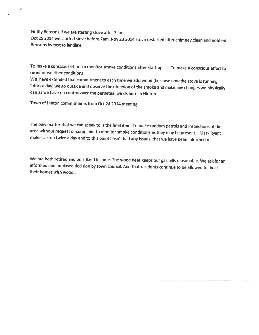Notify Bensons if we are starting stove after <sup>7</sup> am.

Oct <sup>29</sup> <sup>2014</sup> we started stove before 7am. Nov <sup>23</sup> <sup>2014</sup> stove restarted after chimney clean and notified Bensons by text to landline.

To make <sup>a</sup> conscious effort to monitor smoke conditions after start up. To make <sup>a</sup> conscious effort to monitor weather conditions

We have extended that commitment to each time we add wood (because now the stove is running 24hrs <sup>a</sup> day) we go outside and observe the direction of the smoke and make any changes we <sup>p</sup>hysically can as we have no control over the perpetual winds here in Hinton.

Town of Hinton commitments from Oct <sup>24</sup> <sup>2014</sup> meeting.

The only matter that we can speak to is the final item. To make random patrols and inspections of the area without request or complaint to monitor smoke conditions as they may be present. Mark Ryant makes <sup>a</sup> stop twice <sup>a</sup> day and to this point hasn't had any issues that we have been informed of.

We are both retired and on <sup>a</sup> fixed income. The wood heat keeps our gas bills reasonable. We ask for an informed and unbiased decision by town council. And that residents continue to be allowed to heat their homes with wood.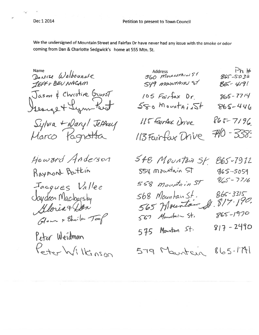We the undersigned of Mountain Street and Fairfax Dr have never had any issue with the smoke or odor coming from Dan & Charlotte Sedgwick's home at 555 Mtn. St.

Denise WelbourNe JEFFY BEV NACAM Jason & Christine Sunst<br>Jeange + Lynn Rest Sylvia + Dary/ Jettey Marco Pagnotta Howard Anderson Raymond Batkin  $354$  Mountain  $>1$ Jacques Vallee Saydeen Macharsky Oleun & Ghila Toop Peter Weidman Peter Wilkinson

| Address<br>560 MovementAral 51<br>S49 MOUNTAIN ST | Ph#<br>$865 - 5032$<br>$85 - 4191$ |
|---------------------------------------------------|------------------------------------|
| 105 Fairfax Dr.                                   | $865 - 7714$                       |
| $580$ Mountainst                                  | 865-446                            |
| 115 Fairfax Drive                                 | 865-7196.                          |
| 113 Fairfax Drive                                 | $740 - 338.$                       |
| 548 Mountain St. 865-7912<br>554 Mountain St      | $965 - 5059$                       |

 $865 - 77/6$ 558 Mountain ST 00 Mountain St. 865-3315<br>565 Mountain St. 817-190.  $568$  Mountain St.  $865 - 1970$ 567 Montain St.  $817 - 2490$ 575 Mountain St.

 $865 - 1791$ 579 Maintein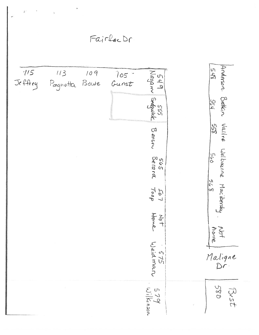ż FairlacDr Anderson Bottin Vallve Welbaune Macibersky  $\frac{5}{2}$ 549 sed<br>Nagam Sedgwick  $1/5$  $113$ 109 los<br>Gunst Jeffrey Pagnotta Bowe  $\frac{524}{1}$ 855 Benson  $\frac{560}{6}$ sus<br>Berara  $568$ TooT<br>Toop  $20 + 10$ Not<br>hore Weidman  $522$ Maligne  $Df$  $579$ <br>  $167$ <br>  $150n$  $0.85$ Best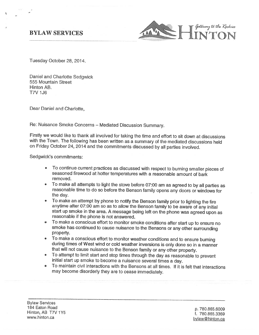

Tuesday October 28, 2014.

Daniel and Charlotte Sedgwick 555 Mountain Street Hinton AB. T7V 1J6

Dear Daniel and Charlotte,

Re: Nuisance Smoke Concerns — Mediated Discussion Summary.

Firstly we would like to thank all involved for taking the time and effort to sit down at discussions with the Town. The following has been written as a summary of the mediated discussions held on Friday October 24, <sup>2014</sup> and the commitments discussed by all parties involved.

Sedgwick's commitments:

- To continue current practices as discussed with respect to burning smaller pieces of seasoned firewood at hotter temperatures with a reasonable amount of bark removed.
- To make all attempts to light the stove before 07:00 am as agreed to by all parties as reasonable time to do so before the Benson family opens any doors or windows for the day.
- To make an attempt by phone to notify the Benson family prior to lighting the fire anytime after 07:00 am so as to allow the Benson family to be aware of any initial start up smoke in the area. <sup>A</sup> message being left on the <sup>p</sup>hone was agreed upon as reasonable if the <sup>p</sup>hone is not answered.
- To make a conscious effort to monitor smoke conditions after start up to ensure no smoke has continued to cause nuisance to the Bensons or any other surrounding property.
- To make a conscious effort to monitor weather conditions and to ensure burning during times of West wind or cold weather inversions is only done so in a manner that will not cause nuisance to the Benson family or any other property.
- To attempt to limit start and stop times through the day as reasonable to prevent initial start up smoke to become <sup>a</sup> nuisance several times <sup>a</sup> day.
- To maintain civil interactions with the Bensons at all times. If it is felt that interactions may become disorderly they are to cease immediately.

Bylaw Services 184 Eaton Road p. 780.865.6009<br>Hinton, AB T7V 1Y5 f. 780.865.3369

www.hinton.ca bylaw@hinton.ca bylaw@hinton.ca bylaw@hinton.ca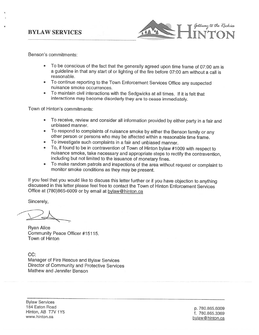### **BYLAW SERVICES**



Benson's commitments:

- To be conscious of the fact that the generally agreed upon time frame of 07:00 am is <sup>a</sup> guideline in that any start of or lighting of the fire before 07:00 am without <sup>a</sup> call is reasonable.
- To continue reporting to the Town Enforcement Services Office any suspected nuisance smoke occurrences.
- To maintain civil interactions with the Sedgwicks at all times. If it is felt that interactions may become disorderly they are to cease immediately.

Town of Hinton's commitments:

- • To receive, review and consider all information provided by either party in <sup>a</sup> fair and unbiased manner.
- To respond to complaints of nuisance smoke by either the Benson family or any other person or persons who may be affected within a reasonable time frame.
- •
- To investigate such complaints in a fair and unbiased manner.<br>To, if found to be in contravention of Town of Hinton bylaw #1009 with respect to •nuisance smoke, take necessary and appropriate steps to rectify the contravention, including but not limited to the issuance of monetary fines.
- •To make random patrols and inspections of the area without request or complaint to monitor smoke conditions as they may be present.

If you feel that you would like to discuss this letter further or if you have objection to anything discussed in this letter <sup>p</sup>lease feel free to contact the Town of Hinton Enforcement Services Office at (780)865-6009 or by email at bylaw@hinton.ca

Sincerely,

Ryan Alice Community Peace Officer #15115. Town of Hinton

CC: Manager of Fire Rescue and Bylaw Services Director of Community and Protective Services Mathew and Jennifer Benson

Bylaw Services 184 Eaton Road p. 780.865.6009<br>Hinton, AB T7V 1Y5 f. 780.865.3369 www.hinton.ca bylaw@hinton.ca bylaw@hinton.ca bylaw@hinton.ca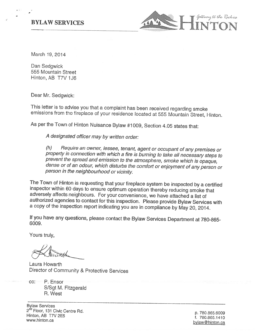#### **BYLAW SERVICES**



March 19, 2014

Dan Sedgwick 555 Mountain Street Hinton, AB T7V 1J6

Dear Mr. Sedgwick:

This letter is to advise you that <sup>a</sup> complaint has been received regarding smoke emissions from the fireplace of your residence located at <sup>555</sup> Mountain Street, Hnton.

As per the Town of Hinton Nuisance Bylaw #1009, Section 4.05 states that:

<sup>A</sup> designated officer may by written order:

(h) Require an owner, lessee, tenant, agent or occupant of any premises or property in connection with which a fire is burning to take all necessary steps to prevent the spread and emission to the atmosphere, smoke which i person in the neighbourhood or vicinity.

The Town of Hinton is requesting that your fireplace system be inspected by a certified inspector within 60 days to ensure optimum operation thereby reducing smoke that adversely affects neighbours. For your convenience, w authonzed agencies to contact for this inspection. Please provide Bylaw Services with <sup>a</sup> copy of the inspection report indicating you are in compliance by May 20, 2014.

If you have any questions, <sup>p</sup>lease contact the Bylaw Services Department at 780-865- 6009.

Yours truly,

Laura Howarth Director of Community & Protective Services

cc: P. Ensor S/Sgt M. Fitzgerald R. West

Bylaw Services<br>2<sup>nd</sup> Floor, 131 Civic Centre Rd. 2"º Floor, 131 Civic Centre Rd.<br>Hinton, AB T7V 2E5 f. 780.865.1410<br>www.hinton.ca bytaw@hinton.ca bytaw@hinton.ca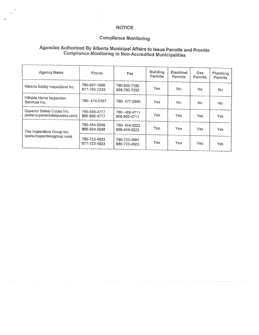#### NOTICE

#### Compliance Monitoring

# Agencies Authorized By Alberta Municipal Affairs to Issue Permits and Provide Compliance Monitoring in Non-Accredited Municipalities

| <b>Agency Name</b>                                          | Phone                        | Fax                          | <b>Building</b><br>Permits | Electrical<br><b>Permits</b> | Gas<br>Permits | Plumbing<br><b>Permits</b> |
|-------------------------------------------------------------|------------------------------|------------------------------|----------------------------|------------------------------|----------------|----------------------------|
| Alberta Safety Inspections Inc.                             | 780-897-1998<br>877-780-7233 | 780-539-7185<br>888-780-7232 | Yes                        | No.                          | No             | No                         |
| Hillside Home Inspection<br>Services Inc.                   | 780-474-0167                 | 780-477-3396                 | Yes                        | N <sub>o</sub>               | No.            | No                         |
| Superior Safely Codes Inc.<br>(www.superiorsafetycodes.com) | 780-489-4777<br>866-999-4777 | 780-489-4711<br>866-900-4711 | Yes                        | Yes                          | Yes.           | <b>Yes</b>                 |
| The Inspections Group Inc.<br>(www.inspectionsgroup.com)    | 780-454-5048<br>866-554-5048 | 780-454-5222<br>866-454-5222 | Yes                        | <b>Yes</b>                   | Yes:           | Yes                        |
|                                                             | 780-723-4923<br>877-723-4923 | 780-723-3991<br>888-723-4923 | Yes                        | Yes                          | <b>Yes</b>     | Yes                        |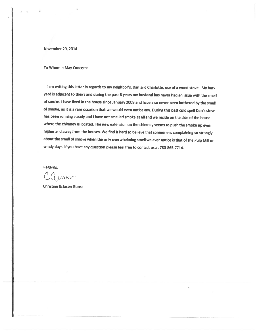November 29, 2014

To Whom It May Concern:

<sup>I</sup> am writing this letter in regards to my neighbor's, Dan and Charlotte, use of <sup>a</sup> wood stove. My back yard is adjacent to theirs and during the past <sup>8</sup> years my husband has never had an issue with the smell of smoke. <sup>I</sup> have lived in the house since January <sup>2009</sup> and have also never been bothered by the smell of smoke, as it is <sup>a</sup> rare occasion that we would even notice any. During this past cold spell Dan's stove has been running steady and <sup>I</sup> have not smelled smoke at all and we reside on the side of the house where the chimney is located. The new extension on the chimney seems to push the smoke up even higher and away from the houses. We find it hard to believe that someone is complaining so strongly about the smell of smoke when the only overwhelming smell we ever notice is that of the Pulp Mill on windy days. If you have any question <sup>p</sup>lease feel free to contact us at 780-865-7714.

Regards,

 $CG$ unst

Christine & Jason Gunst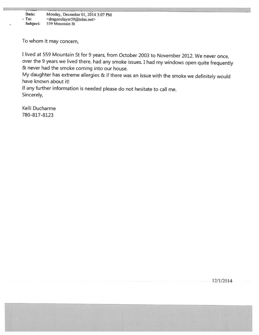Date: Monday, December 01, 2014 3:07 PM  $\cdot$  To:  $\leq$   $\leq$   $\leq$   $\leq$   $\leq$   $\leq$   $\leq$   $\leq$   $\leq$   $\leq$   $\leq$   $\leq$   $\leq$   $\leq$   $\leq$   $\leq$   $\leq$   $\leq$   $\leq$   $\leq$   $\leq$   $\leq$   $\leq$   $\leq$   $\leq$   $\leq$   $\leq$   $\leq$   $\leq$   $\leq$   $\leq$   $\leq$   $\leq$   $\leq$   $\leq$   $\$ Subject: 559 Mountain St

To whom it may concern,

<sup>I</sup> lived at <sup>559</sup> Mountain St for <sup>9</sup> years, from October <sup>2003</sup> to November 2012. We never once, over the <sup>9</sup> years we lived there, had any smoke issues. <sup>I</sup> had my windows open quite frequently & never had the smoke coming into our house.

My daughter has extreme allergies & if there was an issue with the smoke we definitely would have known about it!

If any further information is needed <sup>p</sup>lease do not hesitate to call me. Sincerely,

Kelli Ducharme 780-817-8123

12/1/20 14